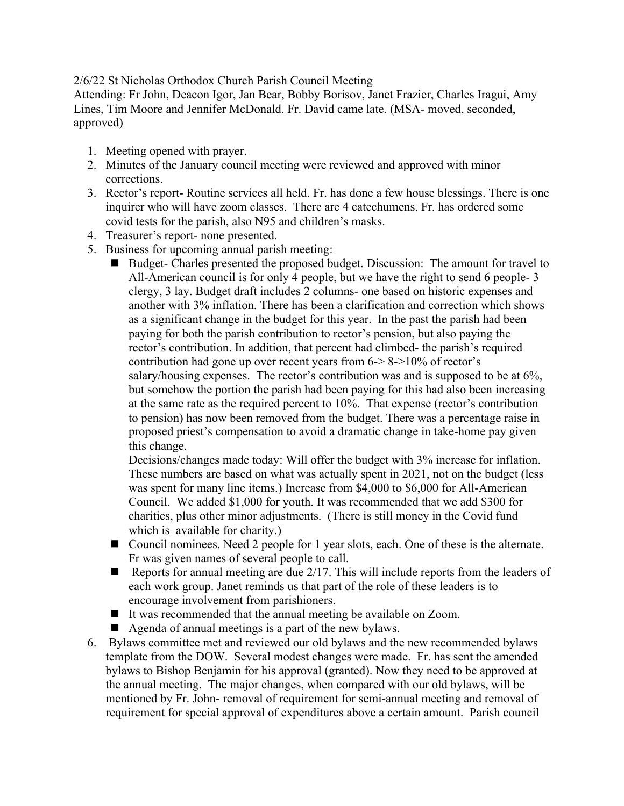2/6/22 St Nicholas Orthodox Church Parish Council Meeting

Attending: Fr John, Deacon Igor, Jan Bear, Bobby Borisov, Janet Frazier, Charles Iragui, Amy Lines, Tim Moore and Jennifer McDonald. Fr. David came late. (MSA- moved, seconded, approved)

- 1. Meeting opened with prayer.
- 2. Minutes of the January council meeting were reviewed and approved with minor corrections.
- 3. Rector's report- Routine services all held. Fr. has done a few house blessings. There is one inquirer who will have zoom classes. There are 4 catechumens. Fr. has ordered some covid tests for the parish, also N95 and children's masks.
- 4. Treasurer's report- none presented.
- 5. Business for upcoming annual parish meeting:
	- Budget- Charles presented the proposed budget. Discussion: The amount for travel to All-American council is for only 4 people, but we have the right to send 6 people- 3 clergy, 3 lay. Budget draft includes 2 columns- one based on historic expenses and another with 3% inflation. There has been a clarification and correction which shows as a significant change in the budget for this year. In the past the parish had been paying for both the parish contribution to rector's pension, but also paying the rector's contribution. In addition, that percent had climbed- the parish's required contribution had gone up over recent years from 6-> 8->10% of rector's salary/housing expenses. The rector's contribution was and is supposed to be at 6%, but somehow the portion the parish had been paying for this had also been increasing at the same rate as the required percent to 10%. That expense (rector's contribution to pension) has now been removed from the budget. There was a percentage raise in proposed priest's compensation to avoid a dramatic change in take-home pay given this change.

Decisions/changes made today: Will offer the budget with 3% increase for inflation. These numbers are based on what was actually spent in 2021, not on the budget (less was spent for many line items.) Increase from \$4,000 to \$6,000 for All-American Council. We added \$1,000 for youth. It was recommended that we add \$300 for charities, plus other minor adjustments. (There is still money in the Covid fund which is available for charity.)

- Council nominees. Need 2 people for 1 year slots, each. One of these is the alternate. Fr was given names of several people to call.
- Reports for annual meeting are due  $2/17$ . This will include reports from the leaders of each work group. Janet reminds us that part of the role of these leaders is to encourage involvement from parishioners.
- It was recommended that the annual meeting be available on Zoom.
- ! Agenda of annual meetings is a part of the new bylaws.
- 6. Bylaws committee met and reviewed our old bylaws and the new recommended bylaws template from the DOW. Several modest changes were made. Fr. has sent the amended bylaws to Bishop Benjamin for his approval (granted). Now they need to be approved at the annual meeting. The major changes, when compared with our old bylaws, will be mentioned by Fr. John- removal of requirement for semi-annual meeting and removal of requirement for special approval of expenditures above a certain amount. Parish council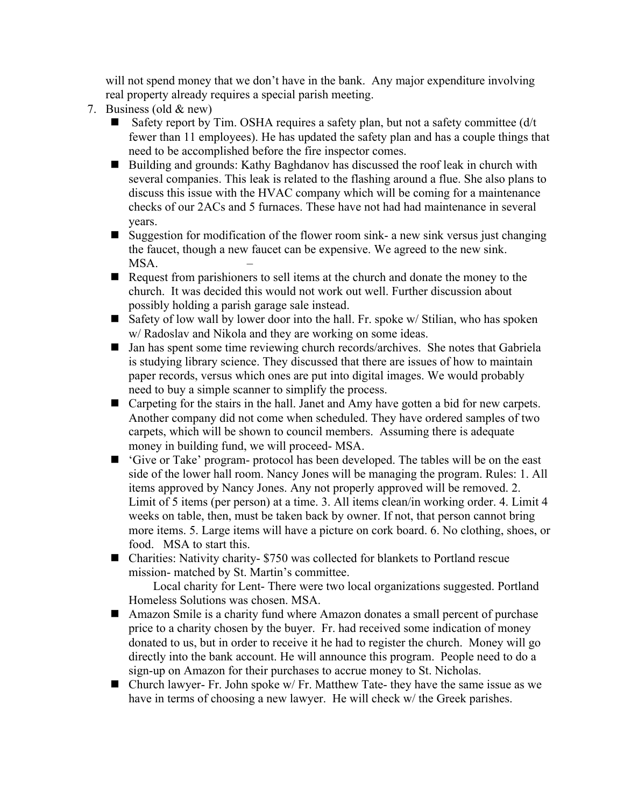will not spend money that we don't have in the bank. Any major expenditure involving real property already requires a special parish meeting.

- 7. Business (old & new)
	- Safety report by Tim. OSHA requires a safety plan, but not a safety committee  $\frac{d}{t}$ fewer than 11 employees). He has updated the safety plan and has a couple things that need to be accomplished before the fire inspector comes.
	- Building and grounds: Kathy Baghdanov has discussed the roof leak in church with several companies. This leak is related to the flashing around a flue. She also plans to discuss this issue with the HVAC company which will be coming for a maintenance checks of our 2ACs and 5 furnaces. These have not had had maintenance in several years.
	- $\Box$  Suggestion for modification of the flower room sink- a new sink versus just changing the faucet, though a new faucet can be expensive. We agreed to the new sink. MSA.
	- ! Request from parishioners to sell items at the church and donate the money to the church. It was decided this would not work out well. Further discussion about possibly holding a parish garage sale instead.
	- **E** Safety of low wall by lower door into the hall. Fr. spoke w/ Stilian, who has spoken w/ Radoslav and Nikola and they are working on some ideas.
	- ! Jan has spent some time reviewing church records/archives. She notes that Gabriela is studying library science. They discussed that there are issues of how to maintain paper records, versus which ones are put into digital images. We would probably need to buy a simple scanner to simplify the process.
	- Carpeting for the stairs in the hall. Janet and Amy have gotten a bid for new carpets. Another company did not come when scheduled. They have ordered samples of two carpets, which will be shown to council members. Assuming there is adequate money in building fund, we will proceed- MSA.
	- ! 'Give or Take' program- protocol has been developed. The tables will be on the east side of the lower hall room. Nancy Jones will be managing the program. Rules: 1. All items approved by Nancy Jones. Any not properly approved will be removed. 2. Limit of 5 items (per person) at a time. 3. All items clean/in working order. 4. Limit 4 weeks on table, then, must be taken back by owner. If not, that person cannot bring more items. 5. Large items will have a picture on cork board. 6. No clothing, shoes, or food. MSA to start this.
	- Charities: Nativity charity- \$750 was collected for blankets to Portland rescue mission- matched by St. Martin's committee.

 Local charity for Lent- There were two local organizations suggested. Portland Homeless Solutions was chosen. MSA.

- ! Amazon Smile is a charity fund where Amazon donates a small percent of purchase price to a charity chosen by the buyer. Fr. had received some indication of money donated to us, but in order to receive it he had to register the church. Money will go directly into the bank account. He will announce this program. People need to do a sign-up on Amazon for their purchases to accrue money to St. Nicholas.
- $\blacksquare$  Church lawyer- Fr. John spoke w/ Fr. Matthew Tate- they have the same issue as we have in terms of choosing a new lawyer. He will check w/ the Greek parishes.